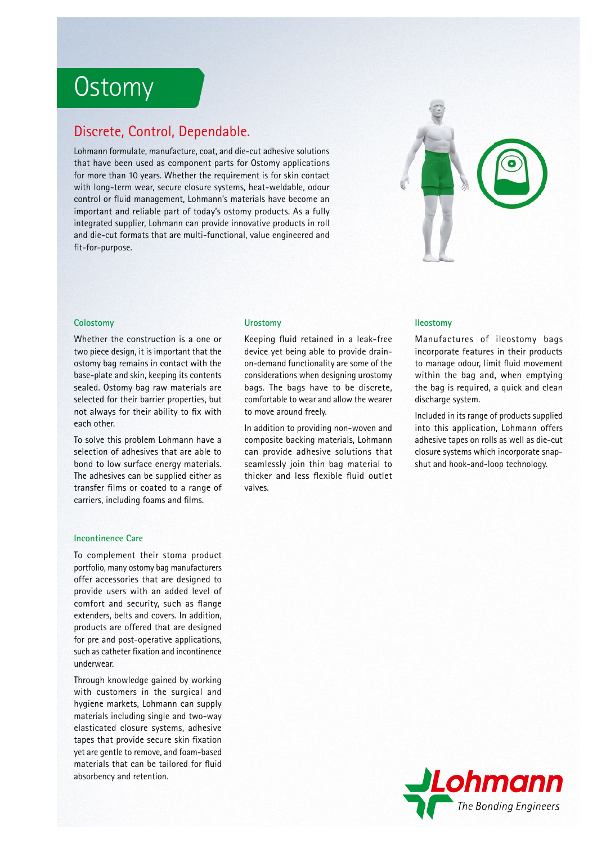# **Ostomy**

## Discrete, Control, Dependable.

Lohmann formulate, manufacture, coat, and die-cut adhesive solutions that have been used as component parts for Ostomy applications for more than 10 years. Whether the requirement is for skin contact with long-term wear, secure closure systems, heat-weldable, odour control or fluid management, Lohmann's materials have become an important and reliable part of today's ostomy products. As a fully integrated supplier, Lohmann can provide innovative products in roll and die-cut formats that are multi-functional, value engineered and fit-for-purpose.



#### **Colostomy**

Whether the construction is a one or two piece design, it is important that the ostomy bag remains in contact with the base-plate and skin, keeping its contents sealed. Ostomy bag raw materials are selected for their barrier properties, but not always for their ability to fix with each other.

To solve this problem Lohmann have a selection of adhesives that are able to bond to low surface energy materials. The adhesives can be supplied either as transfer films or coated to a range of carriers, including foams and films.

#### **Incontinence Care**

To complement their stoma product portfolio, many ostomy bag manufacturers offer accessories that are designed to provide users with an added level of comfort and security, such as flange extenders, belts and covers. In addition, products are offered that are designed for pre and post-operative applications, such as catheter fixation and incontinence underwear.

Through knowledge gained by working with customers in the surgical and hygiene markets, Lohmann can supply materials including single and two-way elasticated closure systems, adhesive tapes that provide secure skin fixation yet are gentle to remove, and foam-based materials that can be tailored for fluid absorbency and retention.

#### **Urostomy Ileostomy**

Keeping fluid retained in a leak-free device yet being able to provide drainon-demand functionality are some of the considerations when designing urostomy bags. The bags have to be discrete, comfortable to wear and allow the wearer to move around freely.

In addition to providing non-woven and composite backing materials, Lohmann can provide adhesive solutions that seamlessly join thin bag material to thicker and less flexible fluid outlet valves.

Manufactures of ileostomy bags incorporate features in their products to manage odour, limit fluid movement within the bag and, when emptying the bag is required, a quick and clean discharge system.

Included in its range of products supplied into this application, Lohmann offers adhesive tapes on rolls as well as die-cut closure systems which incorporate snapshut and hook-and-loop technology.